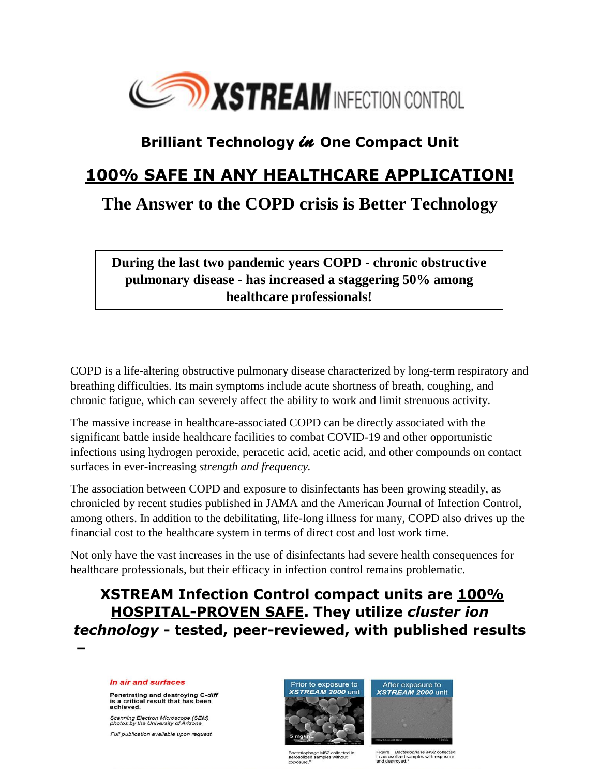

# **Brilliant Technology** *in* **One Compact Unit**

### **100% SAFE IN ANY HEALTHCARE APPLICATION!**

# **The Answer to the COPD crisis is Better Technology**

**During the last two pandemic years COPD - chronic obstructive pulmonary disease - has increased a staggering 50% among healthcare professionals!**

COPD is a life-altering obstructive pulmonary disease characterized by long-term respiratory and breathing difficulties. Its main symptoms include acute shortness of breath, coughing, and chronic fatigue, which can severely affect the ability to work and limit strenuous activity.

The massive increase in healthcare-associated COPD can be directly associated with the significant battle inside healthcare facilities to combat COVID-19 and other opportunistic infections using hydrogen peroxide, peracetic acid, acetic acid, and other compounds on contact surfaces in ever-increasing *strength and frequency.* 

The association between COPD and exposure to disinfectants has been growing steadily, as chronicled by recent studies published in JAMA and the American Journal of Infection Control, among others. In addition to the debilitating, life-long illness for many, COPD also drives up the financial cost to the healthcare system in terms of direct cost and lost work time.

Not only have the vast increases in the use of disinfectants had severe health consequences for healthcare professionals, but their efficacy in infection control remains problematic.

## **XSTREAM Infection Control compact units are 100% HOSPITAL-PROVEN SAFE. They utilize** *cluster ion technology* **- tested, peer-reviewed, with published results**

**–**

#### In air and surfaces

Penetrating and destroying C-diff<br>is a critical result that has been achieved.

Scanning Electron Microscope (SEM)<br>photos by the University of Arizona Full publication available upon request



.<br>Bacteriophage MS2 collected in<br>aerosolized samples without exposure.

After exposure to XSTREAM 2000 unit

Figure Bacteriophase MS2 collected<br>in aerosolized samples with exposure<br>and destroyed.\*